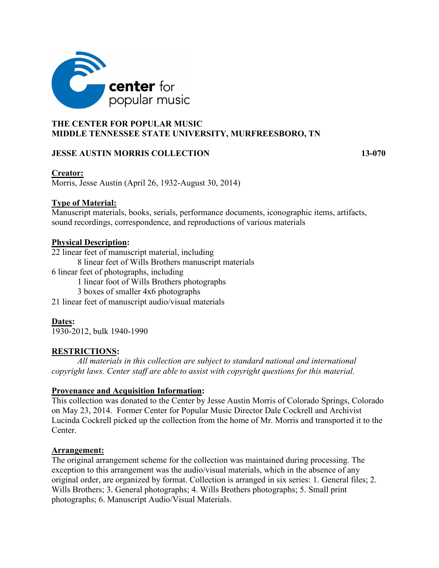

## **THE CENTER FOR POPULAR MUSIC MIDDLE TENNESSEE STATE UNIVERSITY, MURFREESBORO, TN**

## **JESSE AUSTIN MORRIS COLLECTION 13-070**

## **Creator:**

Morris, Jesse Austin (April 26, 1932-August 30, 2014)

## **Type of Material:**

Manuscript materials, books, serials, performance documents, iconographic items, artifacts, sound recordings, correspondence, and reproductions of various materials

## **Physical Description:**

22 linear feet of manuscript material, including

- 8 linear feet of Wills Brothers manuscript materials
- 6 linear feet of photographs, including
	- 1 linear foot of Wills Brothers photographs

3 boxes of smaller 4x6 photographs

21 linear feet of manuscript audio/visual materials

# **Dates:**

1930-2012, bulk 1940-1990

## **RESTRICTIONS:**

*All materials in this collection are subject to standard national and international copyright laws. Center staff are able to assist with copyright questions for this material.*

## **Provenance and Acquisition Information:**

This collection was donated to the Center by Jesse Austin Morris of Colorado Springs, Colorado on May 23, 2014. Former Center for Popular Music Director Dale Cockrell and Archivist Lucinda Cockrell picked up the collection from the home of Mr. Morris and transported it to the Center.

## **Arrangement:**

The original arrangement scheme for the collection was maintained during processing. The exception to this arrangement was the audio/visual materials, which in the absence of any original order, are organized by format. Collection is arranged in six series: 1. General files; 2. Wills Brothers; 3. General photographs; 4. Wills Brothers photographs; 5. Small print photographs; 6. Manuscript Audio/Visual Materials.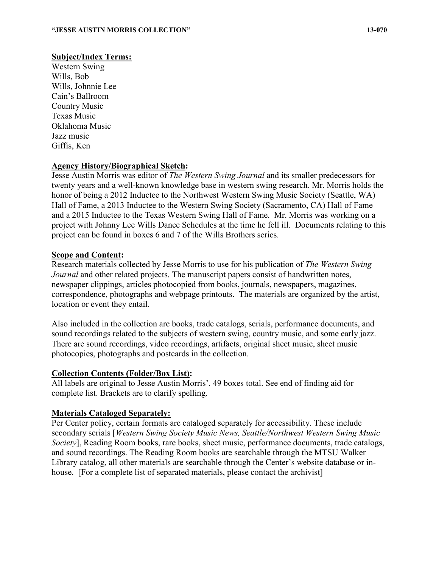### **Subject/Index Terms:**

Western Swing Wills, Bob Wills, Johnnie Lee Cain's Ballroom Country Music Texas Music Oklahoma Music Jazz music Giffis, Ken

## **Agency History/Biographical Sketch:**

Jesse Austin Morris was editor of *The Western Swing Journal* and its smaller predecessors for twenty years and a well-known knowledge base in western swing research. Mr. Morris holds the honor of being a 2012 Inductee to the Northwest Western Swing Music Society (Seattle, WA) Hall of Fame, a 2013 Inductee to the Western Swing Society (Sacramento, CA) Hall of Fame and a 2015 Inductee to the Texas Western Swing Hall of Fame. Mr. Morris was working on a project with Johnny Lee Wills Dance Schedules at the time he fell ill. Documents relating to this project can be found in boxes 6 and 7 of the Wills Brothers series.

### **Scope and Content:**

Research materials collected by Jesse Morris to use for his publication of *The Western Swing Journal* and other related projects. The manuscript papers consist of handwritten notes, newspaper clippings, articles photocopied from books, journals, newspapers, magazines, correspondence, photographs and webpage printouts. The materials are organized by the artist, location or event they entail.

Also included in the collection are books, trade catalogs, serials, performance documents, and sound recordings related to the subjects of western swing, country music, and some early jazz. There are sound recordings, video recordings, artifacts, original sheet music, sheet music photocopies, photographs and postcards in the collection.

### **Collection Contents (Folder/Box List):**

All labels are original to Jesse Austin Morris'. 49 boxes total. See end of finding aid for complete list. Brackets are to clarify spelling.

### **Materials Cataloged Separately:**

Per Center policy, certain formats are cataloged separately for accessibility. These include secondary serials [*Western Swing Society Music News, Seattle/Northwest Western Swing Music Society*], Reading Room books, rare books, sheet music, performance documents, trade catalogs, and sound recordings. The Reading Room books are searchable through the MTSU Walker Library catalog, all other materials are searchable through the Center's website database or inhouse. [For a complete list of separated materials, please contact the archivist]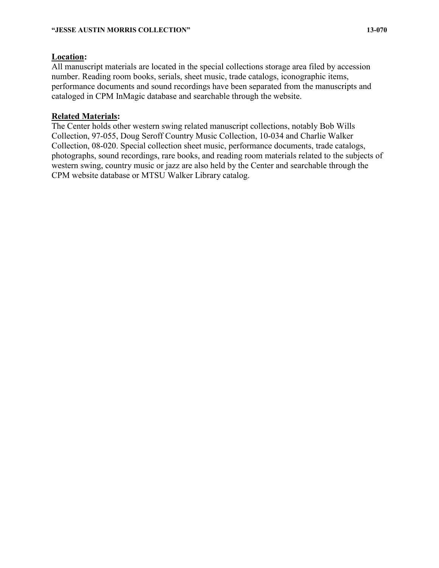### **Location:**

All manuscript materials are located in the special collections storage area filed by accession number. Reading room books, serials, sheet music, trade catalogs, iconographic items, performance documents and sound recordings have been separated from the manuscripts and cataloged in CPM InMagic database and searchable through the website.

### **Related Materials:**

The Center holds other western swing related manuscript collections, notably Bob Wills Collection, 97-055, Doug Seroff Country Music Collection, 10-034 and Charlie Walker Collection, 08-020. Special collection sheet music, performance documents, trade catalogs, photographs, sound recordings, rare books, and reading room materials related to the subjects of western swing, country music or jazz are also held by the Center and searchable through the CPM website database or MTSU Walker Library catalog.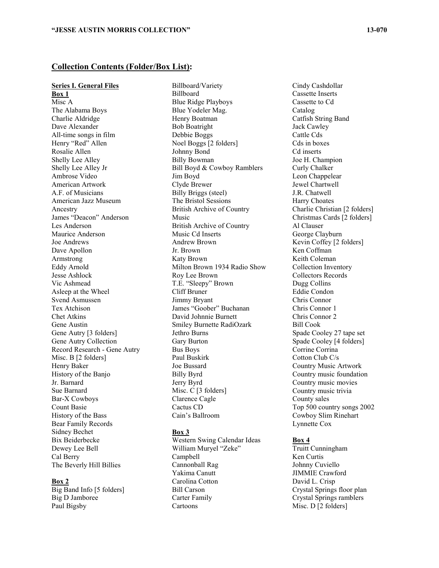### **Collection Contents (Folder/Box List):**

#### **Series I. General Files**

**Box 1** Misc A The Alabama Boys Charlie Aldridge Dave Alexander All-time songs in film Henry "Red" Allen Rosalie Allen Shelly Lee Alley Shelly Lee Alley Jr Ambrose Video American Artwork A.F. of Musicians American Jazz Museum Ancestry James "Deacon" Anderson Les Anderson Maurice Anderson Joe Andrews Dave Apollon Armstrong Eddy Arnold Jesse Ashlock Vic Ashmead Asleep at the Wheel Svend Asmussen Tex Atchison Chet Atkins Gene Austin Gene Autry [3 folders] Gene Autry Collection Record Research - Gene Autry Misc. B [2 folders] Henry Baker History of the Banjo Jr. Barnard Sue Barnard Bar-X Cowboys Count Basie History of the Bass Bear Family Records Sidney Bechet Bix Beiderbecke Dewey Lee Bell Cal Berry The Beverly Hill Billies

#### **Box 2**

Big Band Info [5 folders] Big D Jamboree Paul Bigsby

Billboard/Variety Billboard Blue Ridge Playboys Blue Yodeler Mag. Henry Boatman Bob Boatright Debbie Boggs Noel Boggs [2 folders] Johnny Bond Billy Bowman Bill Boyd & Cowboy Ramblers Jim Boyd Clyde Brewer Billy Briggs (steel) The Bristol Sessions British Archive of Country Music British Archive of Country Music Cd Inserts Andrew Brown Jr. Brown Katy Brown Milton Brown 1934 Radio Show Roy Lee Brown T.E. "Sleepy" Brown Cliff Bruner Jimmy Bryant James "Goober" Buchanan David Johnnie Burnett Smiley Burnette RadiOzark Jethro Burns Gary Burton Bus Boys Paul Buskirk Joe Bussard Billy Byrd Jerry Byrd Misc. C [3 folders] Clarence Cagle Cactus CD Cain's Ballroom

#### **Box 3**

Western Swing Calendar Ideas William Muryel "Zeke" Campbell Cannonball Rag Yakima Canutt Carolina Cotton Bill Carson Carter Family Cartoons

Cindy Cashdollar Cassette Inserts Cassette to Cd Catalog Catfish String Band Jack Cawley Cattle Cds Cds in boxes Cd inserts Joe H. Champion Curly Chalker Leon Chappelear Jewel Chartwell J.R. Chatwell Harry Choates Charlie Christian [2 folders] Christmas Cards [2 folders] Al Clauser George Clayburn Kevin Coffey [2 folders] Ken Coffman Keith Coleman Collection Inventory Collectors Records Dugg Collins Eddie Condon Chris Connor Chris Connor 1 Chris Connor 2 Bill Cook Spade Cooley 27 tape set Spade Cooley [4 folders] Corrine Corrina Cotton Club C/s Country Music Artwork Country music foundation Country music movies Country music trivia County sales Top 500 country songs 2002 Cowboy Slim Rinehart Lynnette Cox

#### **Box 4**

Truitt Cunningham Ken Curtis Johnny Cuviello JIMMIE Crawford David L. Crisp Crystal Springs floor plan Crystal Springs ramblers Misc. D [2 folders]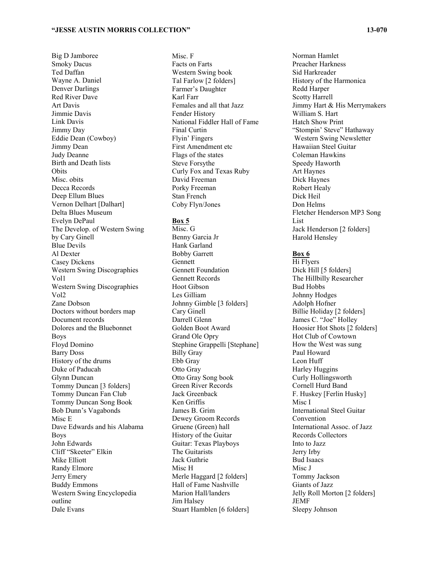Big D Jamboree Smoky Dacus Ted Daffan Wayne A. Daniel Denver Darlings Red River Dave Art Davis Jimmie Davis Link Davis Jimmy Day Eddie Dean (Cowboy) Jimmy Dean Judy Deanne Birth and Death lists **Obits** Misc. obits Decca Records Deep Ellum Blues Vernon Delhart [Dalhart] Delta Blues Museum Evelyn DePaul The Develop. of Western Swing by Cary Ginell Blue Devils Al Dexter Casey Dickens Western Swing Discographies Vol1 Western Swing Discographies Vol2 Zane Dobson Doctors without borders map Document records Dolores and the Bluebonnet Boys Floyd Domino Barry Doss History of the drums Duke of Paducah Glynn Duncan Tommy Duncan [3 folders] Tommy Duncan Fan Club Tommy Duncan Song Book Bob Dunn's Vagabonds Misc E Dave Edwards and his Alabama Boys John Edwards Cliff "Skeeter" Elkin Mike Elliott Randy Elmore Jerry Emery Buddy Emmons Western Swing Encyclopedia outline Dale Evans

Misc. F Facts on Farts Western Swing book Tal Farlow [2 folders] Farmer's Daughter Karl Farr Females and all that Jazz Fender History National Fiddler Hall of Fame Final Curtin Flyin' Fingers First Amendment etc Flags of the states Steve Forsythe Curly Fox and Texas Ruby David Freeman Porky Freeman Stan French Coby Flyn/Jones

#### **Box 5**

Misc. G Benny Garcia Jr Hank Garland Bobby Garrett Gennett Gennett Foundation Gennett Records Hoot Gibson Les Gilliam Johnny Gimble [3 folders] Cary Ginell Darrell Glenn Golden Boot Award Grand Ole Opry Stephine Grappelli [Stephane] Billy Gray Ebb Gray Otto Gray Otto Gray Song book Green River Records Jack Greenback Ken Griffis James B. Grim Dewey Groom Records Gruene (Green) hall History of the Guitar Guitar: Texas Playboys The Guitarists Jack Guthrie Misc H Merle Haggard [2 folders] Hall of Fame Nashville Marion Hall/landers Jim Halsey Stuart Hamblen [6 folders]

Norman Hamlet Preacher Harkness Sid Harkreader History of the Harmonica Redd Harper Scotty Harrell Jimmy Hart & His Merrymakers William S. Hart Hatch Show Print "Stompin' Steve" Hathaway Western Swing Newsletter Hawaiian Steel Guitar Coleman Hawkins Speedy Haworth Art Haynes Dick Haynes Robert Healy Dick Heil Don Helms Fletcher Henderson MP3 Song List Jack Henderson [2 folders] Harold Hensley

#### **Box 6**

Hi Flyers Dick Hill [5 folders] The Hillbilly Researcher Bud Hobbs Johnny Hodges Adolph Hofner Billie Holiday [2 folders] James C. "Joe" Holley Hoosier Hot Shots [2 folders] Hot Club of Cowtown How the West was sung Paul Howard Leon Huff Harley Huggins Curly Hollingsworth Cornell Hurd Band F. Huskey [Ferlin Husky] Misc I International Steel Guitar Convention International Assoc. of Jazz Records Collectors Into to Jazz Jerry Irby Bud Isaacs Misc J Tommy Jackson Giants of Jazz Jelly Roll Morton [2 folders] JEMF Sleepy Johnson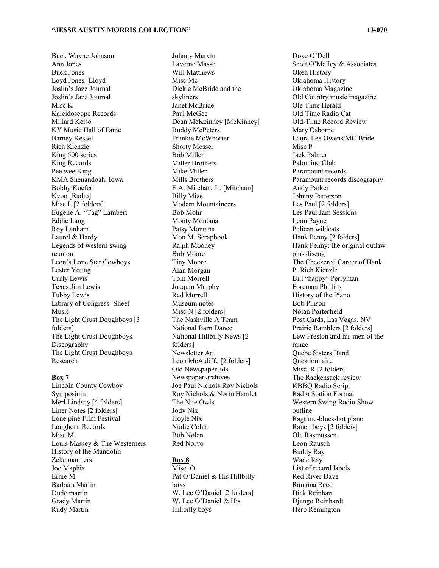Buck Wayne Johnson Ann Jones Buck Jones Loyd Jones [Lloyd] Joslin's Jazz Journal Joslin's Jazz Journal Misc K Kaleidoscope Records Millard Kelso KY Music Hall of Fame Barney Kessel Rich Kienzle King 500 series King Records Pee wee King KMA Shenandoah, Iowa Bobby Koefer Kvoo [Radio] Misc L [2 folders] Eugene A. "Tag" Lambert Eddie Lang Roy Lanham Laurel & Hardy Legends of western swing reunion Leon's Lone Star Cowboys Lester Young Curly Lewis Texas Jim Lewis Tubby Lewis Library of Congress- Sheet Music The Light Crust Doughboys [3 folders] The Light Crust Doughboys Discography The Light Crust Doughboys Research

#### **Box 7**

Lincoln County Cowboy Symposium Merl Lindsay [4 folders] Liner Notes [2 folders] Lone pine Film Festival Longhorn Records Misc M Louis Massey & The Westerners History of the Mandolin Zeke manners Joe Maphis Ernie M. Barbara Martin Dude martin Grady Martin Rudy Martin

Johnny Marvin Laverne Masse Will Matthews Misc Mc Dickie McBride and the skyliners Janet McBride Paul McGee Dean McKeinney [McKinney] Buddy McPeters Frankie McWhorter Shorty Messer Bob Miller Miller Brothers Mike Miller Mills Brothers E.A. Mitchan, Jr. [Mitcham] Billy Mize Modern Mountaineers Bob Mohr Monty Montana Patsy Montana Mon M. Scrapbook Ralph Mooney Bob Moore Tiny Moore Alan Morgan Tom Morrell Joaquin Murphy Red Murrell Museum notes Misc N [2 folders] The Nashville A Team National Barn Dance National Hillbilly News [2 folders] Newsletter Art Leon McAuliffe [2 folders] Old Newspaper ads Newspaper archives Joe Paul Nichols Roy Nichols Roy Nichols & Norm Hamlet The Nite Owls Jody Nix Hoyle Nix Nudie Cohn Bob Nolan Red Norvo

### **Box 8**

Misc. O Pat O'Daniel & His Hillbilly boys W. Lee O'Daniel [2 folders] W. Lee O'Daniel & His Hillbilly boys

Doye O'Dell Scott O'Malley & Associates Okeh History Oklahoma History Oklahoma Magazine Old Country music magazine Ole Time Herald Old Time Radio Cat Old-Time Record Review Mary Osborne Laura Lee Owens/MC Bride Misc P Jack Palmer Palomino Club Paramount records Paramount records discography Andy Parker Johnny Patterson Les Paul [2 folders] Les Paul Jam Sessions Leon Payne Pelican wildcats Hank Penny [2 folders] Hank Penny: the original outlaw plus discog The Checkered Career of Hank P. Rich Kienzle Bill "happy" Perryman Foreman Phillips History of the Piano Bob Pinson Nolan Porterfield Post Cards, Las Vegas, NV Prairie Ramblers [2 folders] Lew Preston and his men of the range Quebe Sisters Band Questionnaire Misc. R [2 folders] The Rackensack review KBBQ Radio Script Radio Station Format Western Swing Radio Show outline Ragtime-blues-hot piano Ranch boys [2 folders] Ole Rasmussen Leon Rausch Buddy Ray Wade Ray List of record labels Red River Dave Ramona Reed Dick Reinhart Django Reinhardt Herb Remington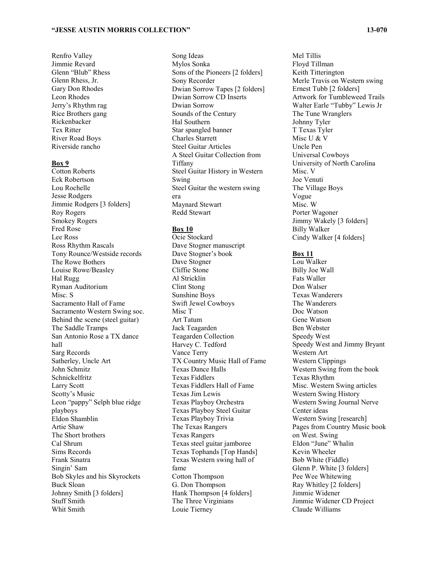Renfro Valley Jimmie Revard Glenn "Blub" Rhess Glenn Rhess, Jr. Gary Don Rhodes Leon Rhodes Jerry's Rhythm rag Rice Brothers gang Rickenbacker Tex Ritter River Road Boys Riverside rancho

#### **Box 9**

Cotton Roberts Eck Robertson Lou Rochelle Jesse Rodgers Jimmie Rodgers [3 folders] Roy Rogers Smokey Rogers Fred Rose Lee Ross Ross Rhythm Rascals Tony Rounce/Westside records The Rowe Bothers Louise Rowe/Beasley Hal Rugg Ryman Auditorium Misc. S Sacramento Hall of Fame Sacramento Western Swing soc. Behind the scene (steel guitar) The Saddle Tramps San Antonio Rose a TX dance hall Sarg Records Satherley, Uncle Art John Schmitz Schnickelfritz Larry Scott Scotty's Music Leon "pappy" Selph blue ridge playboys Eldon Shamblin Artie Shaw The Short brothers Cal Shrum Sims Records Frank Sinatra Singin' Sam Bob Skyles and his Skyrockets Buck Sloan Johnny Smith [3 folders] Stuff Smith Whit Smith

Song Ideas Mylos Sonka Sons of the Pioneers [2 folders] Sony Recorder Dwian Sorrow Tapes [2 folders] Dwian Sorrow CD Inserts Dwian Sorrow Sounds of the Century Hal Southern Star spangled banner Charles Starrett Steel Guitar Articles A Steel Guitar Collection from Tiffany Steel Guitar History in Western Swing Steel Guitar the western swing era Maynard Stewart Redd Stewart

#### **Box 10**

Ocie Stockard Dave Stogner manuscript Dave Stogner's book Dave Stogner Cliffie Stone Al Stricklin Clint Stong Sunshine Boys Swift Jewel Cowboys Misc T Art Tatum Jack Teagarden Teagarden Collection Harvey C. Tedford Vance Terry TX Country Music Hall of Fame Texas Dance Halls Texas Fiddlers Texas Fiddlers Hall of Fame Texas Jim Lewis Texas Playboy Orchestra Texas Playboy Steel Guitar Texas Playboy Trivia The Texas Rangers Texas Rangers Texas steel guitar jamboree Texas Tophands [Top Hands] Texas Western swing hall of fame Cotton Thompson G. Don Thompson Hank Thompson [4 folders] The Three Virginians Louie Tierney

Mel Tillis Floyd Tillman Keith Titterington Merle Travis on Western swing Ernest Tubb [2 folders] Artwork for Tumbleweed Trails Walter Earle "Tubby" Lewis Jr The Tune Wranglers Johnny Tyler T Texas Tyler Misc U & V Uncle Pen Universal Cowboys University of North Carolina Misc. V Joe Venuti The Village Boys Vogue Misc. W Porter Wagoner Jimmy Wakely [3 folders] Billy Walker Cindy Walker [4 folders]

#### **Box 11**

Lou Walker Billy Joe Wall Fats Waller Don Walser Texas Wanderers The Wanderers Doc Watson Gene Watson Ben Webster Speedy West Speedy West and Jimmy Bryant Western Art Western Clippings Western Swing from the book Texas Rhythm Misc. Western Swing articles Western Swing History Western Swing Journal Nerve Center ideas Western Swing [research] Pages from Country Music book on West. Swing Eldon "June" Whalin Kevin Wheeler Bob White (Fiddle) Glenn P. White [3 folders] Pee Wee Whitewing Ray Whitley [2 folders] Jimmie Widener Jimmie Widener CD Project Claude Williams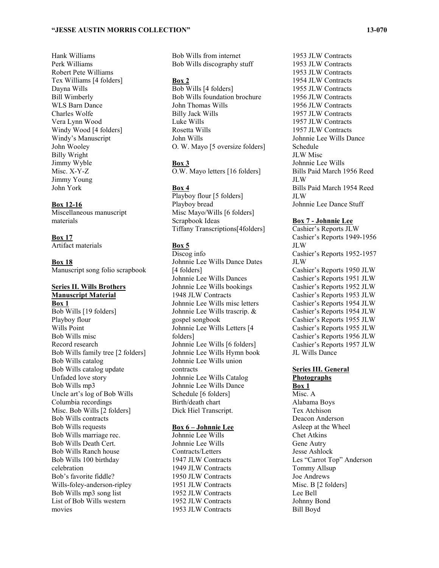#### **"JESSE AUSTIN MORRIS COLLECTION" 13-070**

Hank Williams Perk Williams Robert Pete Williams Tex Williams [4 folders] Dayna Wills Bill Wimberly WLS Barn Dance Charles Wolfe Vera Lynn Wood Windy Wood [4 folders] Windy's Manuscript John Wooley Billy Wright Jimmy Wyble Misc. X-Y-Z Jimmy Young John York

#### **Box 12-16**

Miscellaneous manuscript materials

**Box 17** Artifact materials

**Box 18** Manuscript song folio scrapbook

#### **Series II. Wills Brothers Manuscript Material Box 1**

Bob Wills [19 folders] Playboy flour Wills Point Bob Wills misc Record research Bob Wills family tree [2 folders] Bob Wills catalog Bob Wills catalog update Unfaded love story Bob Wills mp3 Uncle art's log of Bob Wills Columbia recordings Misc. Bob Wills [2 folders] Bob Wills contracts Bob Wills requests Bob Wills marriage rec. Bob Wills Death Cert. Bob Wills Ranch house Bob Wills 100 birthday celebration Bob's favorite fiddle? Wills-foley-anderson-ripley Bob Wills mp3 song list List of Bob Wills western movies

Bob Wills from internet Bob Wills discography stuff

#### **Box 2**

Bob Wills [4 folders] Bob Wills foundation brochure John Thomas Wills Billy Jack Wills Luke Wills Rosetta Wills John Wills O. W. Mayo [5 oversize folders]

#### **Box 3**

O.W. Mayo letters [16 folders]

#### **Box 4**

Playboy flour [5 folders] Playboy bread Misc Mayo/Wills [6 folders] Scrapbook Ideas Tiffany Transcriptions[4folders]

#### **Box 5**

Discog info Johnnie Lee Wills Dance Dates [4 folders] Johnnie Lee Wills Dances Johnnie Lee Wills bookings 1948 JLW Contracts Johnnie Lee Wills misc letters Johnnie Lee Wills trascrip. & gospel songbook Johnnie Lee Wills Letters [4 folders] Johnnie Lee Wills [6 folders] Johnnie Lee Wills Hymn book Johnnie Lee Wills union contracts Johnnie Lee Wills Catalog Johnnie Lee Wills Dance Schedule [6 folders] Birth/death chart Dick Hiel Transcript.

#### **Box 6 – Johnnie Lee**

Johnnie Lee Wills Johnnie Lee Wills Contracts/Letters 1947 JLW Contracts 1949 JLW Contracts 1950 JLW Contracts 1951 JLW Contracts 1952 JLW Contracts 1952 JLW Contracts 1953 JLW Contracts

1953 JLW Contracts 1953 JLW Contracts 1954 JLW Contracts 1955 JLW Contracts 1956 JLW Contracts 1956 JLW Contracts 1957 JLW Contracts 1957 JLW Contracts 1957 JLW Contracts Johnnie Lee Wills Dance Schedule JLW Misc Johnnie Lee Wills Bills Paid March 1956 Reed JLW Bills Paid March 1954 Reed JLW Johnnie Lee Dance Stuff

1953 JLW Contracts

#### **Box 7 - Johnnie Lee**

Cashier's Reports JLW Cashier's Reports 1949-1956 JLW Cashier's Reports 1952-1957 JLW Cashier's Reports 1950 JLW Cashier's Reports 1951 JLW Cashier's Reports 1952 JLW Cashier's Reports 1953 JLW Cashier's Reports 1954 JLW Cashier's Reports 1954 JLW Cashier's Reports 1955 JLW Cashier's Reports 1955 JLW Cashier's Reports 1956 JLW Cashier's Reports 1957 JLW JL Wills Dance

### **Series III. General**

**Photographs Box 1** Misc. A Alabama Boys Tex Atchison Deacon Anderson Asleep at the Wheel Chet Atkins Gene Autry Jesse Ashlock Les "Carrot Top" Anderson Tommy Allsup Joe Andrews Misc. B [2 folders] Lee Bell Johnny Bond Bill Boyd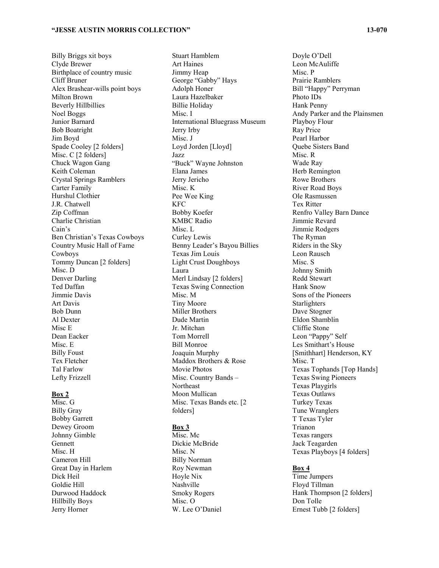Billy Briggs xit boys Clyde Brewer Birthplace of country music Cliff Bruner Alex Brashear-wills point boys Milton Brown Beverly Hillbillies Noel Boggs Junior Barnard Bob Boatright Jim Boyd Spade Cooley [2 folders] Misc. C [2 folders] Chuck Wagon Gang Keith Coleman Crystal Springs Ramblers Carter Family Hurshul Clothier J.R. Chatwell Zip Coffman Charlie Christian Cain's Ben Christian's Texas Cowboys Country Music Hall of Fame Cowboys Tommy Duncan [2 folders] Misc. D Denver Darling Ted Daffan Jimmie Davis Art Davis Bob Dunn Al Dexter Misc E Dean Eacker Misc. E Billy Foust Tex Fletcher Tal Farlow Lefty Frizzell

#### **Box 2**

Misc. G Billy Gray Bobby Garrett Dewey Groom Johnny Gimble **Gennett** Misc. H Cameron Hill Great Day in Harlem Dick Heil Goldie Hill Durwood Haddock Hillbilly Boys Jerry Horner

Stuart Hamblem Art Haines Jimmy Heap George "Gabby" Hays Adolph Honer Laura Hazelbaker Billie Holiday Misc. I International Bluegrass Museum Jerry Irby Misc. J Loyd Jorden [Lloyd] Jazz "Buck" Wayne Johnston Elana James Jerry Jericho Misc. K Pee Wee King KFC Bobby Koefer KMBC Radio Misc. L Curley Lewis Benny Leader's Bayou Billies Texas Jim Louis Light Crust Doughboys Laura Merl Lindsay [2 folders] Texas Swing Connection Misc. M Tiny Moore Miller Brothers Dude Martin Jr. Mitchan Tom Morrell Bill Monroe Joaquin Murphy Maddox Brothers & Rose Movie Photos Misc. Country Bands – Northeast Moon Mullican Misc. Texas Bands etc. [2 folders]

#### **Box 3**

Misc. Mc Dickie McBride Misc. N Billy Norman Roy Newman Hoyle Nix Nashville Smoky Rogers Misc. O W. Lee O'Daniel

#### Doyle O'Dell Leon McAuliffe Misc. P Prairie Ramblers Bill "Happy" Perryman Photo IDs Hank Penny Andy Parker and the Plainsmen Playboy Flour Ray Price Pearl Harbor Quebe Sisters Band Misc. R Wade Ray Herb Remington Rowe Brothers River Road Boys Ole Rasmussen Tex Ritter Renfro Valley Barn Dance Jimmie Revard Jimmie Rodgers The Ryman Riders in the Sky Leon Rausch Misc. S Johnny Smith Redd Stewart Hank Snow Sons of the Pioneers Starlighters Dave Stogner Eldon Shamblin Cliffie Stone Leon "Pappy" Self Les Smithart's House [Smithhart] Henderson, KY Misc. T Texas Tophands [Top Hands] Texas Swing Pioneers Texas Playgirls Texas Outlaws Turkey Texas Tune Wranglers T Texas Tyler Trianon Texas rangers Jack Teagarden Texas Playboys [4 folders]

#### **Box 4**

Time Jumpers Floyd Tillman Hank Thompson [2 folders] Don Tolle Ernest Tubb [2 folders]